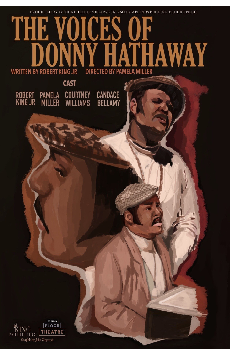PRODUCED BY GROUND FLOOR THEATRE IN ASSOCIATION WITH KING PRODUCTIONS

# THE **JKS HAWAY DIRECTED BY PAMELA MILLER WRITTEN BY ROBERT KING JR CAST**

PAMELA COURTNEY CANDACE<br>Miller Williams Bellamy

ROBERT<br>KING JR

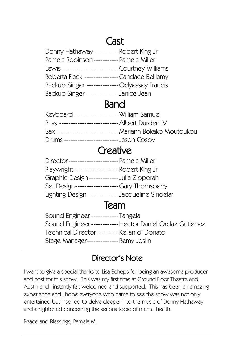# Cast

| Donny Hathaway-----------Robert King Jr         |  |
|-------------------------------------------------|--|
| Pamela Robinson----------- Pamela Miller        |  |
| Lewis------------------------ Courtney Williams |  |
| Roberta Flack --------------Candace Belllamy    |  |
| Backup Singer -------------- Odyessey Francis   |  |
| Backup Singer --------------Janice Jean         |  |

## Band

| Keyboard-------------------- William Samuel      |                                                           |
|--------------------------------------------------|-----------------------------------------------------------|
| Bass -------------------------- Albert Durden IV |                                                           |
|                                                  | Sax ---------------------------- Mariann Bokako Moutoukou |
| Drums ------------------------- Jason Cosby      |                                                           |

## **Creative**

|                             | Director---------------------- Pamela Miller      |
|-----------------------------|---------------------------------------------------|
|                             | Playwright ------------------- Robert King Jr     |
|                             | Graphic Design ------------- Julia Zipporah       |
| Set Design----------------- | --Gary Thornsberry                                |
|                             | Lighting Design-------------- Jacqueline Sindelar |

## Team

Sound Engineer ------------Tangela Sound Engineer ------------Héctor Daniel Ordaz Gutiérrez Technical Director ---------Kellan di Donato Stage Manager--------------Remy Joslin

### Director's Note

I want to give a special thanks to Lisa Scheps for being an awesome producer and host for this show. This was my first time at Ground Floor Theatre and Austin and I instantly felt welcomed and supported. This has been an amazing experience and I hope everyone who came to see the show was not only entertained but inspired to delve deeper into the music of Donny Hathaway and enlightened concerning the serious topic of mental health.

Peace and Blessings, Pamela M.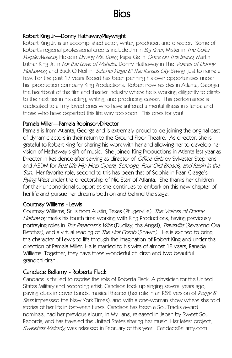# Bios

#### Robert King Jr—Donny Hathaway/Playwright

Robert King Jr. is an accomplished actor, writer, producer, and director. Some of Robert's regional professional credits include Jim in *Big River*, Mister in *The Color* Purple Musical, Hoke in Driving Ms. Daisy, Papa Ge in Once on This Island, Martin Luther King Jr. in *For the Love of Mahalia*, Donny Hathaway in The *Voices of Donny* Hathaway, and Buck O Neil in Satchel Paige & The Kansas City Swing just to name a few. For the past 17 years Robert has been penning his own opportunities under his production company King Productions. Robert now resides in Atlanta, Georgia the heartbeat of the film and theater industry where he is working diligently to climb to the next tier in his acting, writing, and producing career. This performance is dedicated to all my loved ones who have suffered a mental illness in silence and those who have departed this life way too soon. This ones for you!

#### Pamela Miller—Pamela Robinson/Director

Pamela is from Atlanta, Georga and is extremely proud to be joining the original cast of dynamic actors in their return to the Ground Floor Theatre. As director, she is grateful to Robert King for sharing his work with her and allowing her to develop her vision of Hathaway's gift of music. She joined King Productions in Atlanta last year as Director in Residence after serving as director of Office Girls by Sylvester Stephens and ASDM for Real Life Hip-Hop Opera, Scrooge, Four Old Broads, and Raisin in the Sun. Her favorite role, second to this has been that of Sophie in Pearl Cleage's Flying West under the directorship of Nic Starr of Atlanta. She thanks her children for their unconditional support as she continues to embark on this new chapter of her life and pursue her dreams both on and behind the stage.

#### Courtney Williams - Lewis

Courtney Williams, Sr. is from Austin, Texas (Pflugerville). The Voices of Donny Hathaway marks his fourth time working with King Productions, having previously portraying roles in The Preacher's Wife (Dudley, the Angel), Travisville (Reverend Ora Fletcher), and a virtual reading of *The Hot Comb* (Shawn). He is excited to bring the character of Lewis to life through the imagination of Robert King and under the direction of Pamela Miller. He is married to his wife of almost 18 years, Ranada Williams. Together, they have three wonderful children and two beautiful grandchildren .

#### Candace Bellamy - Roberta Flack

Candace is thrilled to reprise the role of Roberta Flack. A physician for the United States Military and recording artist, Candace took up singing several years ago, paying dues in cover bands, musical theater (her role in an R&B version of Porgy & Bess impressed the New York Times), and with a one-woman show where she told stories of her life in between tunes. Candace has been a SoulTracks award nominee, had her previous album, In My Lane, released in Japan by Sweet Soul Records, and has traveled the United States sharing her music. Her latest project, Sweetest Melody, was released in February of this year. CandaceBellamy.com